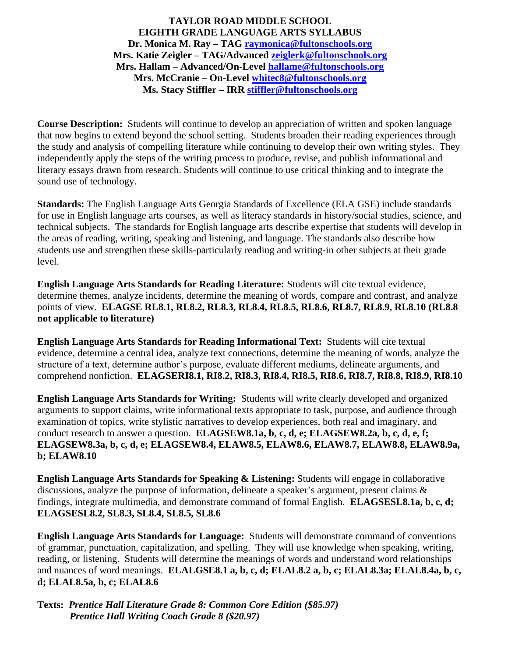**TAYLOR ROAD MIDDLE SCHOOL EIGHTH GRADE LANGUAGE ARTS SYLLABUS Dr. Monica M. Ray – TAG [raymonica@fultonschools.org](mailto:raymonica@fultonschools.org) Mrs. Katie Zeigler – TAG/Advanced [zeiglerk@fultonschools.org](mailto:zeiglerk@fultonschools.org) Mrs. Hallam – Advanced/On-Level [hallame@fultonschools.org](mailto:hallame@fultonschools.org) Mrs. McCranie – On-Level [whitec8@fultonschools.org](mailto:whitec8@fultonschools.org) Ms. Stacy Stiffler – IRR [stiffler@fultonschools.org](mailto:stiffler@fultonschools.org)**

**Course Description:** Students will continue to develop an appreciation of written and spoken language that now begins to extend beyond the school setting. Students broaden their reading experiences through the study and analysis of compelling literature while continuing to develop their own writing styles. They independently apply the steps of the writing process to produce, revise, and publish informational and literary essays drawn from research. Students will continue to use critical thinking and to integrate the sound use of technology.

**Standards:** The English Language Arts Georgia Standards of Excellence (ELA GSE) include standards for use in English language arts courses, as well as literacy standards in history/social studies, science, and technical subjects. The standards for English language arts describe expertise that students will develop in the areas of reading, writing, speaking and listening, and language. The standards also describe how students use and strengthen these skills-particularly reading and writing-in other subjects at their grade level.

**English Language Arts Standards for Reading Literature:** Students will cite textual evidence, determine themes, analyze incidents, determine the meaning of words, compare and contrast, and analyze points of view. **ELAGSE RL8.1, RL8.2, RL8.3, RL8.4, RL8.5, RL8.6, RL8.7, RL8.9, RL8.10 (RL8.8 not applicable to literature)**

**English Language Arts Standards for Reading Informational Text:** Students will cite textual evidence, determine a central idea, analyze text connections, determine the meaning of words, analyze the structure of a text, determine author's purpose, evaluate different mediums, delineate arguments, and comprehend nonfiction. **ELAGSERI8.1, RI8.2, RI8.3, RI8.4, RI8.5, RI8.6, RI8.7, RI8.8, RI8.9, RI8.10**

**English Language Arts Standards for Writing:** Students will write clearly developed and organized arguments to support claims, write informational texts appropriate to task, purpose, and audience through examination of topics, write stylistic narratives to develop experiences, both real and imaginary, and conduct research to answer a question. **ELAGSEW8.1a, b, c, d, e; ELAGSEW8.2a, b, c, d, e, f; ELAGSEW8.3a, b, c, d, e; ELAGSEW8.4, ELAW8.5, ELAW8.6, ELAW8.7, ELAW8.8, ELAW8.9a, b; ELAW8.10**

**English Language Arts Standards for Speaking & Listening:** Students will engage in collaborative discussions, analyze the purpose of information, delineate a speaker's argument, present claims  $\&$ findings, integrate multimedia, and demonstrate command of formal English. **ELAGSESL8.1a, b, c, d; ELAGSESL8.2, SL8.3, SL8.4, SL8.5, SL8.6**

**English Language Arts Standards for Language:** Students will demonstrate command of conventions of grammar, punctuation, capitalization, and spelling. They will use knowledge when speaking, writing, reading, or listening. Students will determine the meanings of words and understand word relationships and nuances of word meanings. **ELALGSE8.1 a, b, c, d; ELAL8.2 a, b, c; ELAL8.3a; ELAL8.4a, b, c, d; ELAL8.5a, b, c; ELAL8.6**

**Texts:** *Prentice Hall Literature Grade 8: Common Core Edition (\$85.97) Prentice Hall Writing Coach Grade 8 (\$20.97)*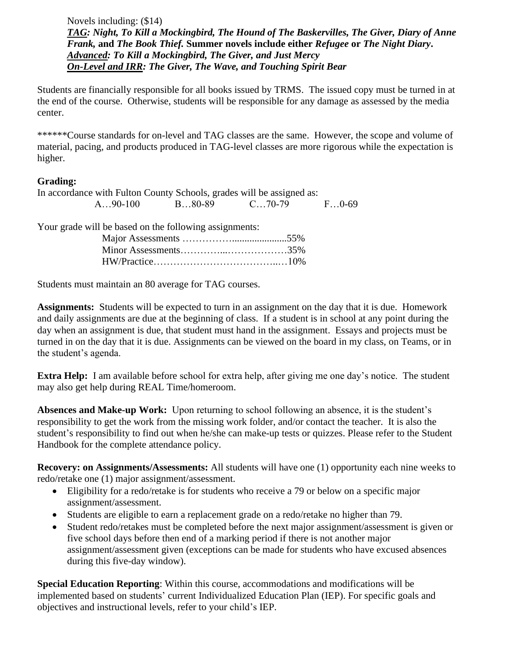Novels including: (\$14) *TAG: Night, To Kill a Mockingbird, The Hound of The Baskervilles, The Giver, Diary of Anne Frank,* **and** *The Book Thief.* **Summer novels include either** *Refugee* **or** *The Night Diary***.**  *Advanced: To Kill a Mockingbird, The Giver, and Just Mercy On-Level and IRR: The Giver, The Wave, and Touching Spirit Bear* 

Students are financially responsible for all books issued by TRMS. The issued copy must be turned in at the end of the course. Otherwise, students will be responsible for any damage as assessed by the media center.

\*\*\*\*\*\*Course standards for on-level and TAG classes are the same. However, the scope and volume of material, pacing, and products produced in TAG-level classes are more rigorous while the expectation is higher.

# **Grading:**

| In accordance with Fulton County Schools, grades will be assigned as: |        |                  |       |
|-----------------------------------------------------------------------|--------|------------------|-------|
| $A90-100$                                                             | B80-89 | $C_{\dots}70-79$ | FO-69 |

Your grade will be based on the following assignments:

Students must maintain an 80 average for TAG courses.

**Assignments:** Students will be expected to turn in an assignment on the day that it is due. Homework and daily assignments are due at the beginning of class. If a student is in school at any point during the day when an assignment is due, that student must hand in the assignment. Essays and projects must be turned in on the day that it is due. Assignments can be viewed on the board in my class, on Teams, or in the student's agenda.

**Extra Help:** I am available before school for extra help, after giving me one day's notice. The student may also get help during REAL Time/homeroom.

**Absences and Make-up Work:** Upon returning to school following an absence, it is the student's responsibility to get the work from the missing work folder, and/or contact the teacher. It is also the student's responsibility to find out when he/she can make-up tests or quizzes. Please refer to the Student Handbook for the complete attendance policy.

**Recovery: on Assignments/Assessments:** All students will have one (1) opportunity each nine weeks to redo/retake one (1) major assignment/assessment.

- Eligibility for a redo/retake is for students who receive a 79 or below on a specific major assignment/assessment.
- Students are eligible to earn a replacement grade on a redo/retake no higher than 79.
- Student redo/retakes must be completed before the next major assignment/assessment is given or five school days before then end of a marking period if there is not another major assignment/assessment given (exceptions can be made for students who have excused absences during this five-day window).

**Special Education Reporting**: Within this course, accommodations and modifications will be implemented based on students' current Individualized Education Plan (IEP). For specific goals and objectives and instructional levels, refer to your child's IEP.